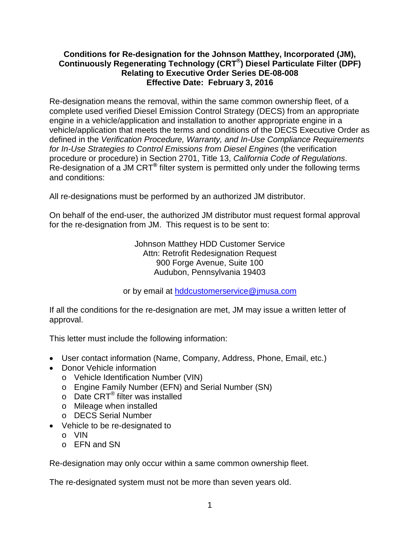## **Effective Date: February 3, 2016 Conditions for Re-designation for the Johnson Matthey, Incorporated (JM), Continuously Regenerating Technology (CRT®) Diesel Particulate Filter (DPF) Relating to Executive Order Series DE-08-008**

 procedure or procedure) in Section 2701, Title 13, *California Code of Regulations*. Re-designation of a JM CRT**®** filter system is permitted only under the following terms Re-designation means the removal, within the same common ownership fleet, of a complete used verified Diesel Emission Control Strategy (DECS) from an appropriate engine in a vehicle/application and installation to another appropriate engine in a vehicle/application that meets the terms and conditions of the DECS Executive Order as defined in the *Verification Procedure, Warranty, and In-Use Compliance Requirements for In-Use Strategies to Control Emissions from Diesel Engines* (the verification and conditions:

All re-designations must be performed by an authorized JM distributor.

 for the re-designation from JM. This request is to be sent to: On behalf of the end-user, the authorized JM distributor must request formal approval

> Audubon, Pennsylvania 19403 Johnson Matthey HDD Customer Service Attn: Retrofit Redesignation Request 900 Forge Avenue, Suite 100

or by email at [hddcustomerservice@jmusa.com](mailto:hddcustomerservice@jmusa.com) 

 If all the conditions for the re-designation are met, JM may issue a written letter of approval.

This letter must include the following information:

- User contact information (Name, Company, Address, Phone, Email, etc.)
- Donor Vehicle information
	- o Vehicle Identification Number (VIN)
	- o Engine Family Number (EFN) and Serial Number (SN)
	- o Date CRT® filter was installed
	- o Mileage when installed
	- o DECS Serial Number
- Vehicle to be re-designated to
	- o VIN
	- o EFN and SN

Re-designation may only occur within a same common ownership fleet.

The re-designated system must not be more than seven years old.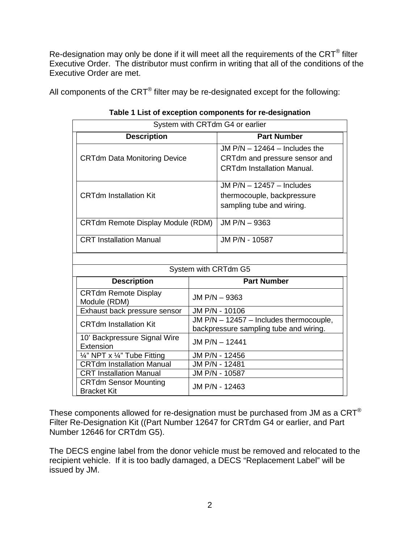Re-designation may only be done if it will meet all the requirements of the CRT<sup>®</sup> filter Executive Order are met. Executive Order. The distributor must confirm in writing that all of the conditions of the

All components of the CRT® filter may be re-designated except for the following:

| System with CRTdm G4 or earlier                    |                                                                                   |                                                                                                       |  |  |  |
|----------------------------------------------------|-----------------------------------------------------------------------------------|-------------------------------------------------------------------------------------------------------|--|--|--|
| <b>Description</b>                                 |                                                                                   | <b>Part Number</b>                                                                                    |  |  |  |
| <b>CRTdm Data Monitoring Device</b>                |                                                                                   | JM $P/N - 12464 -$ Includes the<br>CRTdm and pressure sensor and<br><b>CRTdm Installation Manual.</b> |  |  |  |
| <b>CRTdm Installation Kit</b>                      |                                                                                   | JM $P/N - 12457 - Includes$<br>thermocouple, backpressure<br>sampling tube and wiring.                |  |  |  |
| CRTdm Remote Display Module (RDM)                  |                                                                                   | JM P/N - 9363                                                                                         |  |  |  |
| <b>CRT Installation Manual</b>                     |                                                                                   | JM P/N - 10587                                                                                        |  |  |  |
|                                                    |                                                                                   |                                                                                                       |  |  |  |
| System with CRTdm G5                               |                                                                                   |                                                                                                       |  |  |  |
| <b>Description</b>                                 | <b>Part Number</b>                                                                |                                                                                                       |  |  |  |
| <b>CRTdm Remote Display</b><br>Module (RDM)        | JM P/N - 9363                                                                     |                                                                                                       |  |  |  |
| Exhaust back pressure sensor                       | JM P/N - 10106                                                                    |                                                                                                       |  |  |  |
| <b>CRTdm Installation Kit</b>                      | JM P/N - 12457 - Includes thermocouple,<br>backpressure sampling tube and wiring. |                                                                                                       |  |  |  |
| 10' Backpressure Signal Wire<br>Extension          | JM P/N - 12441                                                                    |                                                                                                       |  |  |  |
| 1/4" NPT x 1/4" Tube Fitting                       | JM P/N - 12456                                                                    |                                                                                                       |  |  |  |
| <b>CRTdm Installation Manual</b>                   | JM P/N - 12481                                                                    |                                                                                                       |  |  |  |
| <b>CRT Installation Manual</b>                     | JM P/N - 10587                                                                    |                                                                                                       |  |  |  |
| <b>CRTdm Sensor Mounting</b><br><b>Bracket Kit</b> | JM P/N - 12463                                                                    |                                                                                                       |  |  |  |

|  |  |  |  |  | Table 1 List of exception components for re-designation |
|--|--|--|--|--|---------------------------------------------------------|
|--|--|--|--|--|---------------------------------------------------------|

These components allowed for re-designation must be purchased from JM as a CRT $^\circ$ Filter Re-Designation Kit ((Part Number 12647 for CRTdm G4 or earlier, and Part Number 12646 for CRTdm G5).

 recipient vehicle. If it is too badly damaged, a DECS "Replacement Label" will be The DECS engine label from the donor vehicle must be removed and relocated to the issued by JM.